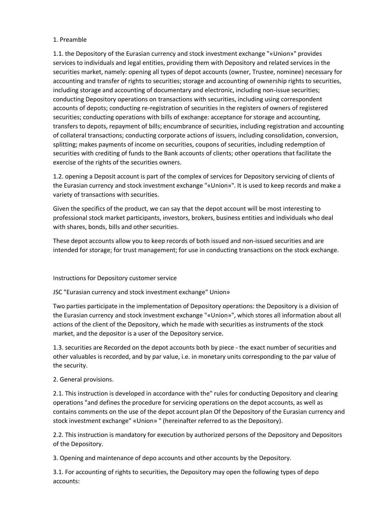## 1. Preamble

1.1. the Depository of the Eurasian currency and stock investment exchange "«Union»" provides services to individuals and legal entities, providing them with Depository and related services in the securities market, namely: opening all types of depot accounts (owner, Trustee, nominee) necessary for accounting and transfer of rights to securities; storage and accounting of ownership rights to securities, including storage and accounting of documentary and electronic, including non-issue securities; conducting Depository operations on transactions with securities, including using correspondent accounts of depots; conducting re-registration of securities in the registers of owners of registered securities; conducting operations with bills of exchange: acceptance for storage and accounting, transfers to depots, repayment of bills; encumbrance of securities, including registration and accounting of collateral transactions; conducting corporate actions of issuers, including consolidation, conversion, splitting; makes payments of income on securities, coupons of securities, including redemption of securities with crediting of funds to the Bank accounts of clients; other operations that facilitate the exercise of the rights of the securities owners.

1.2. opening a Deposit account is part of the complex of services for Depository servicing of clients of the Eurasian currency and stock investment exchange "«Union»". It is used to keep records and make a variety of transactions with securities.

Given the specifics of the product, we can say that the depot account will be most interesting to professional stock market participants, investors, brokers, business entities and individuals who deal with shares, bonds, bills and other securities.

These depot accounts allow you to keep records of both issued and non-issued securities and are intended for storage; for trust management; for use in conducting transactions on the stock exchange.

### Instructions for Depository customer service

JSC "Eurasian currency and stock investment exchange" Union»

Two parties participate in the implementation of Depository operations: the Depository is a division of the Eurasian currency and stock investment exchange "«Union»", which stores all information about all actions of the client of the Depository, which he made with securities as instruments of the stock market, and the depositor is a user of the Depository service.

1.3. securities are Recorded on the depot accounts both by piece - the exact number of securities and other valuables is recorded, and by par value, i.e. in monetary units corresponding to the par value of the security.

### 2. General provisions.

2.1. This instruction is developed in accordance with the" rules for conducting Depository and clearing operations "and defines the procedure for servicing operations on the depot accounts, as well as contains comments on the use of the depot account plan Of the Depository of the Eurasian currency and stock investment exchange" «Union» " (hereinafter referred to as the Depository).

2.2. This instruction is mandatory for execution by authorized persons of the Depository and Depositors of the Depository.

3. Opening and maintenance of depo accounts and other accounts by the Depository.

3.1. For accounting of rights to securities, the Depository may open the following types of depo accounts: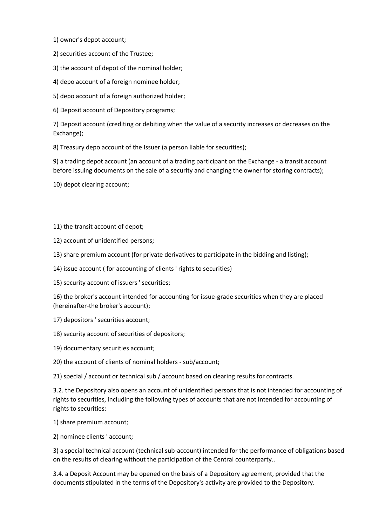1) owner's depot account;

2) securities account of the Trustee;

3) the account of depot of the nominal holder;

4) depo account of a foreign nominee holder;

5) depo account of a foreign authorized holder;

6) Deposit account of Depository programs;

7) Deposit account (crediting or debiting when the value of a security increases or decreases on the Exchange);

8) Treasury depo account of the Issuer (a person liable for securities);

9) a trading depot account (an account of a trading participant on the Exchange - a transit account before issuing documents on the sale of a security and changing the owner for storing contracts);

10) depot clearing account;

11) the transit account of depot;

12) account of unidentified persons;

13) share premium account (for private derivatives to participate in the bidding and listing);

14) issue account ( for accounting of clients ' rights to securities)

15) security account of issuers ' securities;

16) the broker's account intended for accounting for issue-grade securities when they are placed (hereinafter-the broker's account);

17) depositors ' securities account;

18) security account of securities of depositors;

19) documentary securities account;

20) the account of clients of nominal holders - sub/account;

21) special / account or technical sub / account based on clearing results for contracts.

3.2. the Depository also opens an account of unidentified persons that is not intended for accounting of rights to securities, including the following types of accounts that are not intended for accounting of rights to securities:

1) share premium account;

2) nominee clients ' account;

3) a special technical account (technical sub-account) intended for the performance of obligations based on the results of clearing without the participation of the Central counterparty..

3.4. a Deposit Account may be opened on the basis of a Depository agreement, provided that the documents stipulated in the terms of the Depository's activity are provided to the Depository.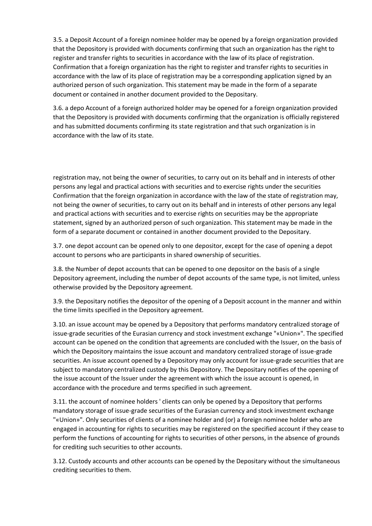3.5. a Deposit Account of a foreign nominee holder may be opened by a foreign organization provided that the Depository is provided with documents confirming that such an organization has the right to register and transfer rights to securities in accordance with the law of its place of registration. Confirmation that a foreign organization has the right to register and transfer rights to securities in accordance with the law of its place of registration may be a corresponding application signed by an authorized person of such organization. This statement may be made in the form of a separate document or contained in another document provided to the Depositary.

3.6. a depo Account of a foreign authorized holder may be opened for a foreign organization provided that the Depository is provided with documents confirming that the organization is officially registered and has submitted documents confirming its state registration and that such organization is in accordance with the law of its state.

registration may, not being the owner of securities, to carry out on its behalf and in interests of other persons any legal and practical actions with securities and to exercise rights under the securities Confirmation that the foreign organization in accordance with the law of the state of registration may, not being the owner of securities, to carry out on its behalf and in interests of other persons any legal and practical actions with securities and to exercise rights on securities may be the appropriate statement, signed by an authorized person of such organization. This statement may be made in the form of a separate document or contained in another document provided to the Depositary.

3.7. one depot account can be opened only to one depositor, except for the case of opening a depot account to persons who are participants in shared ownership of securities.

3.8. the Number of depot accounts that can be opened to one depositor on the basis of a single Depository agreement, including the number of depot accounts of the same type, is not limited, unless otherwise provided by the Depository agreement.

3.9. the Depositary notifies the depositor of the opening of a Deposit account in the manner and within the time limits specified in the Depository agreement.

3.10. an issue account may be opened by a Depository that performs mandatory centralized storage of issue-grade securities of the Eurasian currency and stock investment exchange "«Union»". The specified account can be opened on the condition that agreements are concluded with the Issuer, on the basis of which the Depository maintains the issue account and mandatory centralized storage of issue-grade securities. An issue account opened by a Depository may only account for issue-grade securities that are subject to mandatory centralized custody by this Depository. The Depositary notifies of the opening of the issue account of the Issuer under the agreement with which the issue account is opened, in accordance with the procedure and terms specified in such agreement.

3.11. the account of nominee holders ' clients can only be opened by a Depository that performs mandatory storage of issue-grade securities of the Eurasian currency and stock investment exchange "«Union»". Only securities of clients of a nominee holder and (or) a foreign nominee holder who are engaged in accounting for rights to securities may be registered on the specified account if they cease to perform the functions of accounting for rights to securities of other persons, in the absence of grounds for crediting such securities to other accounts.

3.12. Custody accounts and other accounts can be opened by the Depositary without the simultaneous crediting securities to them.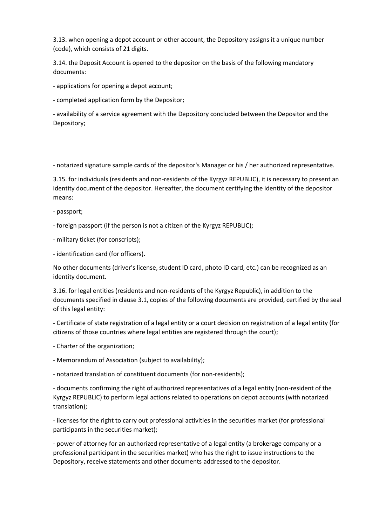3.13. when opening a depot account or other account, the Depository assigns it a unique number (code), which consists of 21 digits.

3.14. the Deposit Account is opened to the depositor on the basis of the following mandatory documents:

- applications for opening a depot account;

- completed application form by the Depositor;

- availability of a service agreement with the Depository concluded between the Depositor and the Depository;

- notarized signature sample cards of the depositor's Manager or his / her authorized representative.

3.15. for individuals (residents and non-residents of the Kyrgyz REPUBLIC), it is necessary to present an identity document of the depositor. Hereafter, the document certifying the identity of the depositor means:

- passport;
- foreign passport (if the person is not a citizen of the Kyrgyz REPUBLIC);
- military ticket (for conscripts);
- identification card (for officers).

No other documents (driver's license, student ID card, photo ID card, etc.) can be recognized as an identity document.

3.16. for legal entities (residents and non-residents of the Kyrgyz Republic), in addition to the documents specified in clause 3.1, copies of the following documents are provided, certified by the seal of this legal entity:

- Certificate of state registration of a legal entity or a court decision on registration of a legal entity (for citizens of those countries where legal entities are registered through the court);

- Charter of the organization;
- Memorandum of Association (subject to availability);

- notarized translation of constituent documents (for non-residents);

- documents confirming the right of authorized representatives of a legal entity (non-resident of the Kyrgyz REPUBLIC) to perform legal actions related to operations on depot accounts (with notarized translation);

- licenses for the right to carry out professional activities in the securities market (for professional participants in the securities market);

- power of attorney for an authorized representative of a legal entity (a brokerage company or a professional participant in the securities market) who has the right to issue instructions to the Depository, receive statements and other documents addressed to the depositor.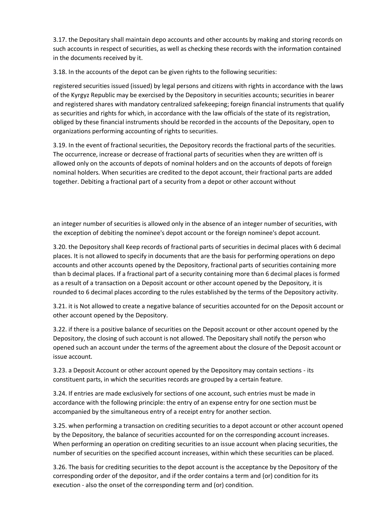3.17. the Depositary shall maintain depo accounts and other accounts by making and storing records on such accounts in respect of securities, as well as checking these records with the information contained in the documents received by it.

3.18. In the accounts of the depot can be given rights to the following securities:

registered securities issued (issued) by legal persons and citizens with rights in accordance with the laws of the Kyrgyz Republic may be exercised by the Depository in securities accounts; securities in bearer and registered shares with mandatory centralized safekeeping; foreign financial instruments that qualify as securities and rights for which, in accordance with the law officials of the state of its registration, obliged by these financial instruments should be recorded in the accounts of the Depositary, open to organizations performing accounting of rights to securities.

3.19. In the event of fractional securities, the Depository records the fractional parts of the securities. The occurrence, increase or decrease of fractional parts of securities when they are written off is allowed only on the accounts of depots of nominal holders and on the accounts of depots of foreign nominal holders. When securities are credited to the depot account, their fractional parts are added together. Debiting a fractional part of a security from a depot or other account without

an integer number of securities is allowed only in the absence of an integer number of securities, with the exception of debiting the nominee's depot account or the foreign nominee's depot account.

3.20. the Depository shall Keep records of fractional parts of securities in decimal places with 6 decimal places. It is not allowed to specify in documents that are the basis for performing operations on depo accounts and other accounts opened by the Depository, fractional parts of securities containing more than b decimal places. If a fractional part of a security containing more than 6 decimal places is formed as a result of a transaction on a Deposit account or other account opened by the Depository, it is rounded to 6 decimal places according to the rules established by the terms of the Depository activity.

3.21. it is Not allowed to create a negative balance of securities accounted for on the Deposit account or other account opened by the Depository.

3.22. if there is a positive balance of securities on the Deposit account or other account opened by the Depository, the closing of such account is not allowed. The Depositary shall notify the person who opened such an account under the terms of the agreement about the closure of the Deposit account or issue account.

3.23. a Deposit Account or other account opened by the Depository may contain sections - its constituent parts, in which the securities records are grouped by a certain feature.

3.24. If entries are made exclusively for sections of one account, such entries must be made in accordance with the following principle: the entry of an expense entry for one section must be accompanied by the simultaneous entry of a receipt entry for another section.

3.25. when performing a transaction on crediting securities to a depot account or other account opened by the Depository, the balance of securities accounted for on the corresponding account increases. When performing an operation on crediting securities to an issue account when placing securities, the number of securities on the specified account increases, within which these securities can be placed.

3.26. The basis for crediting securities to the depot account is the acceptance by the Depository of the corresponding order of the depositor, and if the order contains a term and (or) condition for its execution - also the onset of the corresponding term and (or) condition.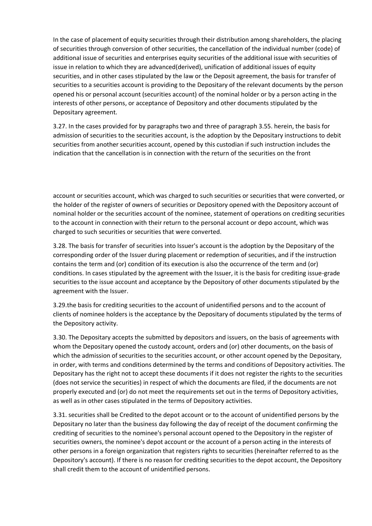In the case of placement of equity securities through their distribution among shareholders, the placing of securities through conversion of other securities, the cancellation of the individual number (code) of additional issue of securities and enterprises equity securities of the additional issue with securities of issue in relation to which they are advanced(derived), unification of additional issues of equity securities, and in other cases stipulated by the law or the Deposit agreement, the basis for transfer of securities to a securities account is providing to the Depositary of the relevant documents by the person opened his or personal account (securities account) of the nominal holder or by a person acting in the interests of other persons, or acceptance of Depository and other documents stipulated by the Depositary agreement.

3.27. In the cases provided for by paragraphs two and three of paragraph 3.55. herein, the basis for admission of securities to the securities account, is the adoption by the Depositary instructions to debit securities from another securities account, opened by this custodian if such instruction includes the indication that the cancellation is in connection with the return of the securities on the front

account or securities account, which was charged to such securities or securities that were converted, or the holder of the register of owners of securities or Depository opened with the Depository account of nominal holder or the securities account of the nominee, statement of operations on crediting securities to the account in connection with their return to the personal account or depo account, which was charged to such securities or securities that were converted.

3.28. The basis for transfer of securities into Issuer's account is the adoption by the Depositary of the corresponding order of the Issuer during placement or redemption of securities, and if the instruction contains the term and (or) condition of its execution is also the occurrence of the term and (or) conditions. In cases stipulated by the agreement with the Issuer, it is the basis for crediting issue-grade securities to the issue account and acceptance by the Depository of other documents stipulated by the agreement with the Issuer.

3.29.the basis for crediting securities to the account of unidentified persons and to the account of clients of nominee holders is the acceptance by the Depositary of documents stipulated by the terms of the Depository activity.

3.30. The Depositary accepts the submitted by depositors and issuers, on the basis of agreements with whom the Depositary opened the custody account, orders and (or) other documents, on the basis of which the admission of securities to the securities account, or other account opened by the Depositary, in order, with terms and conditions determined by the terms and conditions of Depository activities. The Depositary has the right not to accept these documents if it does not register the rights to the securities (does not service the securities) in respect of which the documents are filed, if the documents are not properly executed and (or) do not meet the requirements set out in the terms of Depository activities, as well as in other cases stipulated in the terms of Depository activities.

3.31. securities shall be Credited to the depot account or to the account of unidentified persons by the Depositary no later than the business day following the day of receipt of the document confirming the crediting of securities to the nominee's personal account opened to the Depository in the register of securities owners, the nominee's depot account or the account of a person acting in the interests of other persons in a foreign organization that registers rights to securities (hereinafter referred to as the Depository's account). If there is no reason for crediting securities to the depot account, the Depository shall credit them to the account of unidentified persons.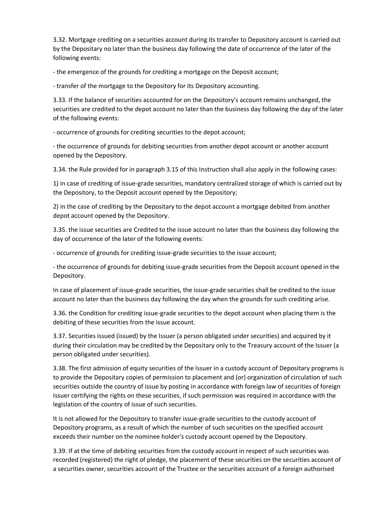3.32. Mortgage crediting on a securities account during its transfer to Depository account is carried out by the Depositary no later than the business day following the date of occurrence of the later of the following events:

- the emergence of the grounds for crediting a mortgage on the Deposit account;

- transfer of the mortgage to the Depository for its Depository accounting.

3.33. If the balance of securities accounted for on the Depository's account remains unchanged, the securities are credited to the depot account no later than the business day following the day of the later of the following events:

- occurrence of grounds for crediting securities to the depot account;

- the occurrence of grounds for debiting securities from another depot account or another account opened by the Depository.

3.34. the Rule provided for in paragraph 3.15 of this Instruction shall also apply in the following cases:

1) in case of crediting of issue-grade securities, mandatory centralized storage of which is carried out by the Depository, to the Deposit account opened by the Depository;

2) in the case of crediting by the Depositary to the depot account a mortgage debited from another depot account opened by the Depository.

3.35. the issue securities are Credited to the issue account no later than the business day following the day of occurrence of the later of the following events:

- occurrence of grounds for crediting issue-grade securities to the issue account;

- the occurrence of grounds for debiting issue-grade securities from the Deposit account opened in the Depository.

In case of placement of issue-grade securities, the issue-grade securities shall be credited to the issue account no later than the business day following the day when the grounds for such crediting arise.

3.36. the Condition for crediting issue-grade securities to the depot account when placing them is the debiting of these securities from the issue account.

3.37. Securities issued (issued) by the Issuer (a person obligated under securities) and acquired by it during their circulation may be credited by the Depositary only to the Treasury account of the Issuer (a person obligated under securities).

3.38. The first admission of equity securities of the Issuer in a custody account of Depositary programs is to provide the Depositary copies of permission to placement and (or) organization of circulation of such securities outside the country of issue by posting in accordance with foreign law of securities of foreign Issuer certifying the rights on these securities, if such permission was required in accordance with the legislation of the country of issue of such securities.

It is not allowed for the Depository to transfer issue-grade securities to the custody account of Depository programs, as a result of which the number of such securities on the specified account exceeds their number on the nominee holder's custody account opened by the Depository.

3.39. If at the time of debiting securities from the custody account in respect of such securities was recorded (registered) the right of pledge, the placement of these securities on the securities account of a securities owner, securities account of the Trustee or the securities account of a foreign authorised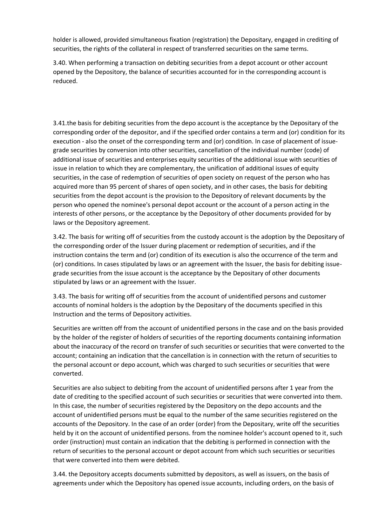holder is allowed, provided simultaneous fixation (registration) the Depositary, engaged in crediting of securities, the rights of the collateral in respect of transferred securities on the same terms.

3.40. When performing a transaction on debiting securities from a depot account or other account opened by the Depository, the balance of securities accounted for in the corresponding account is reduced.

3.41.the basis for debiting securities from the depo account is the acceptance by the Depositary of the corresponding order of the depositor, and if the specified order contains a term and (or) condition for its execution - also the onset of the corresponding term and (or) condition. In case of placement of issuegrade securities by conversion into other securities, cancellation of the individual number (code) of additional issue of securities and enterprises equity securities of the additional issue with securities of issue in relation to which they are complementary, the unification of additional issues of equity securities, in the case of redemption of securities of open society on request of the person who has acquired more than 95 percent of shares of open society, and in other cases, the basis for debiting securities from the depot account is the provision to the Depository of relevant documents by the person who opened the nominee's personal depot account or the account of a person acting in the interests of other persons, or the acceptance by the Depository of other documents provided for by laws or the Depository agreement.

3.42. The basis for writing off of securities from the custody account is the adoption by the Depositary of the corresponding order of the Issuer during placement or redemption of securities, and if the instruction contains the term and (or) condition of its execution is also the occurrence of the term and (or) conditions. In cases stipulated by laws or an agreement with the Issuer, the basis for debiting issuegrade securities from the issue account is the acceptance by the Depositary of other documents stipulated by laws or an agreement with the Issuer.

3.43. The basis for writing off of securities from the account of unidentified persons and customer accounts of nominal holders is the adoption by the Depositary of the documents specified in this Instruction and the terms of Depository activities.

Securities are written off from the account of unidentified persons in the case and on the basis provided by the holder of the register of holders of securities of the reporting documents containing information about the inaccuracy of the record on transfer of such securities or securities that were converted to the account; containing an indication that the cancellation is in connection with the return of securities to the personal account or depo account, which was charged to such securities or securities that were converted.

Securities are also subject to debiting from the account of unidentified persons after 1 year from the date of crediting to the specified account of such securities or securities that were converted into them. In this case, the number of securities registered by the Depository on the depo accounts and the account of unidentified persons must be equal to the number of the same securities registered on the accounts of the Depository. In the case of an order (order) from the Depositary, write off the securities held by it on the account of unidentified persons. from the nominee holder's account opened to it, such order (instruction) must contain an indication that the debiting is performed in connection with the return of securities to the personal account or depot account from which such securities or securities that were converted into them were debited.

3.44. the Depository accepts documents submitted by depositors, as well as issuers, on the basis of agreements under which the Depository has opened issue accounts, including orders, on the basis of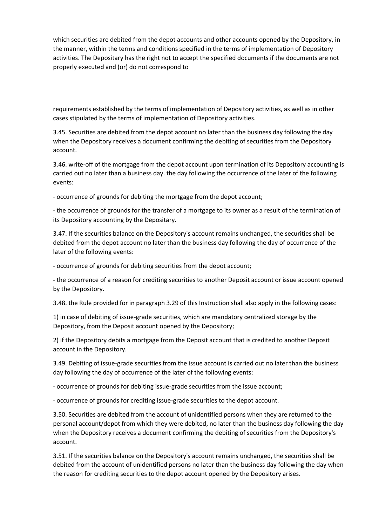which securities are debited from the depot accounts and other accounts opened by the Depository, in the manner, within the terms and conditions specified in the terms of implementation of Depository activities. The Depositary has the right not to accept the specified documents if the documents are not properly executed and (or) do not correspond to

requirements established by the terms of implementation of Depository activities, as well as in other cases stipulated by the terms of implementation of Depository activities.

3.45. Securities are debited from the depot account no later than the business day following the day when the Depository receives a document confirming the debiting of securities from the Depository account.

3.46. write-off of the mortgage from the depot account upon termination of its Depository accounting is carried out no later than a business day. the day following the occurrence of the later of the following events:

- occurrence of grounds for debiting the mortgage from the depot account;

- the occurrence of grounds for the transfer of a mortgage to its owner as a result of the termination of its Depository accounting by the Depositary.

3.47. If the securities balance on the Depository's account remains unchanged, the securities shall be debited from the depot account no later than the business day following the day of occurrence of the later of the following events:

- occurrence of grounds for debiting securities from the depot account;

- the occurrence of a reason for crediting securities to another Deposit account or issue account opened by the Depository.

3.48. the Rule provided for in paragraph 3.29 of this Instruction shall also apply in the following cases:

1) in case of debiting of issue-grade securities, which are mandatory centralized storage by the Depository, from the Deposit account opened by the Depository;

2) if the Depository debits a mortgage from the Deposit account that is credited to another Deposit account in the Depository.

3.49. Debiting of issue-grade securities from the issue account is carried out no later than the business day following the day of occurrence of the later of the following events:

- occurrence of grounds for debiting issue-grade securities from the issue account;

- occurrence of grounds for crediting issue-grade securities to the depot account.

3.50. Securities are debited from the account of unidentified persons when they are returned to the personal account/depot from which they were debited, no later than the business day following the day when the Depository receives a document confirming the debiting of securities from the Depository's account.

3.51. If the securities balance on the Depository's account remains unchanged, the securities shall be debited from the account of unidentified persons no later than the business day following the day when the reason for crediting securities to the depot account opened by the Depository arises.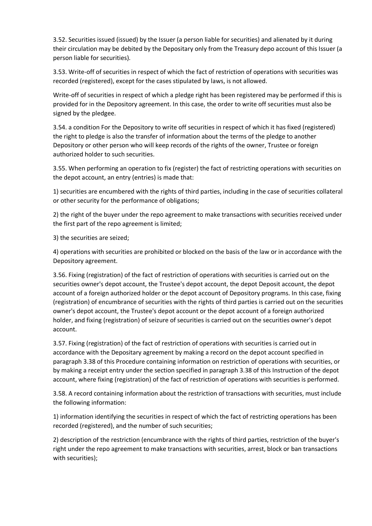3.52. Securities issued (issued) by the Issuer (a person liable for securities) and alienated by it during their circulation may be debited by the Depositary only from the Treasury depo account of this Issuer (a person liable for securities).

3.53. Write-off of securities in respect of which the fact of restriction of operations with securities was recorded (registered), except for the cases stipulated by laws, is not allowed.

Write-off of securities in respect of which a pledge right has been registered may be performed if this is provided for in the Depository agreement. In this case, the order to write off securities must also be signed by the pledgee.

3.54. a condition For the Depository to write off securities in respect of which it has fixed (registered) the right to pledge is also the transfer of information about the terms of the pledge to another Depository or other person who will keep records of the rights of the owner, Trustee or foreign authorized holder to such securities.

3.55. When performing an operation to fix (register) the fact of restricting operations with securities on the depot account, an entry (entries) is made that:

1) securities are encumbered with the rights of third parties, including in the case of securities collateral or other security for the performance of obligations;

2) the right of the buyer under the repo agreement to make transactions with securities received under the first part of the repo agreement is limited;

3) the securities are seized;

4) operations with securities are prohibited or blocked on the basis of the law or in accordance with the Depository agreement.

3.56. Fixing (registration) of the fact of restriction of operations with securities is carried out on the securities owner's depot account, the Trustee's depot account, the depot Deposit account, the depot account of a foreign authorized holder or the depot account of Depository programs. In this case, fixing (registration) of encumbrance of securities with the rights of third parties is carried out on the securities owner's depot account, the Trustee's depot account or the depot account of a foreign authorized holder, and fixing (registration) of seizure of securities is carried out on the securities owner's depot account.

3.57. Fixing (registration) of the fact of restriction of operations with securities is carried out in accordance with the Depositary agreement by making a record on the depot account specified in paragraph 3.38 of this Procedure containing information on restriction of operations with securities, or by making a receipt entry under the section specified in paragraph 3.38 of this Instruction of the depot account, where fixing (registration) of the fact of restriction of operations with securities is performed.

3.58. A record containing information about the restriction of transactions with securities, must include the following information:

1) information identifying the securities in respect of which the fact of restricting operations has been recorded (registered), and the number of such securities;

2) description of the restriction (encumbrance with the rights of third parties, restriction of the buyer's right under the repo agreement to make transactions with securities, arrest, block or ban transactions with securities);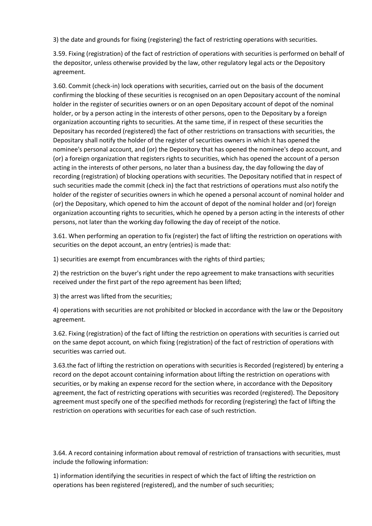3) the date and grounds for fixing (registering) the fact of restricting operations with securities.

3.59. Fixing (registration) of the fact of restriction of operations with securities is performed on behalf of the depositor, unless otherwise provided by the law, other regulatory legal acts or the Depository agreement.

3.60. Commit (check-in) lock operations with securities, carried out on the basis of the document confirming the blocking of these securities is recognised on an open Depositary account of the nominal holder in the register of securities owners or on an open Depositary account of depot of the nominal holder, or by a person acting in the interests of other persons, open to the Depositary by a foreign organization accounting rights to securities. At the same time, if in respect of these securities the Depositary has recorded (registered) the fact of other restrictions on transactions with securities, the Depositary shall notify the holder of the register of securities owners in which it has opened the nominee's personal account, and (or) the Depository that has opened the nominee's depo account, and (or) a foreign organization that registers rights to securities, which has opened the account of a person acting in the interests of other persons, no later than a business day, the day following the day of recording (registration) of blocking operations with securities. The Depositary notified that in respect of such securities made the commit (check in) the fact that restrictions of operations must also notify the holder of the register of securities owners in which he opened a personal account of nominal holder and (or) the Depositary, which opened to him the account of depot of the nominal holder and (or) foreign organization accounting rights to securities, which he opened by a person acting in the interests of other persons, not later than the working day following the day of receipt of the notice.

3.61. When performing an operation to fix (register) the fact of lifting the restriction on operations with securities on the depot account, an entry (entries) is made that:

1) securities are exempt from encumbrances with the rights of third parties;

2) the restriction on the buyer's right under the repo agreement to make transactions with securities received under the first part of the repo agreement has been lifted;

3) the arrest was lifted from the securities;

4) operations with securities are not prohibited or blocked in accordance with the law or the Depository agreement.

3.62. Fixing (registration) of the fact of lifting the restriction on operations with securities is carried out on the same depot account, on which fixing (registration) of the fact of restriction of operations with securities was carried out.

3.63.the fact of lifting the restriction on operations with securities is Recorded (registered) by entering a record on the depot account containing information about lifting the restriction on operations with securities, or by making an expense record for the section where, in accordance with the Depository agreement, the fact of restricting operations with securities was recorded (registered). The Depository agreement must specify one of the specified methods for recording (registering) the fact of lifting the restriction on operations with securities for each case of such restriction.

3.64. A record containing information about removal of restriction of transactions with securities, must include the following information:

1) information identifying the securities in respect of which the fact of lifting the restriction on operations has been registered (registered), and the number of such securities;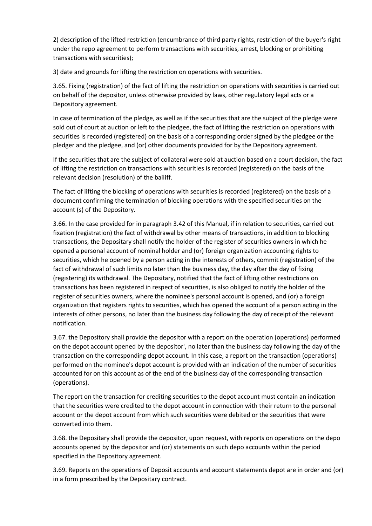2) description of the lifted restriction (encumbrance of third party rights, restriction of the buyer's right under the repo agreement to perform transactions with securities, arrest, blocking or prohibiting transactions with securities);

3) date and grounds for lifting the restriction on operations with securities.

3.65. Fixing (registration) of the fact of lifting the restriction on operations with securities is carried out on behalf of the depositor, unless otherwise provided by laws, other regulatory legal acts or a Depository agreement.

In case of termination of the pledge, as well as if the securities that are the subject of the pledge were sold out of court at auction or left to the pledgee, the fact of lifting the restriction on operations with securities is recorded (registered) on the basis of a corresponding order signed by the pledgee or the pledger and the pledgee, and (or) other documents provided for by the Depository agreement.

If the securities that are the subject of collateral were sold at auction based on a court decision, the fact of lifting the restriction on transactions with securities is recorded (registered) on the basis of the relevant decision (resolution) of the bailiff.

The fact of lifting the blocking of operations with securities is recorded (registered) on the basis of a document confirming the termination of blocking operations with the specified securities on the account (s) of the Depository.

3.66. In the case provided for in paragraph 3.42 of this Manual, if in relation to securities, carried out fixation (registration) the fact of withdrawal by other means of transactions, in addition to blocking transactions, the Depositary shall notify the holder of the register of securities owners in which he opened a personal account of nominal holder and (or) foreign organization accounting rights to securities, which he opened by a person acting in the interests of others, commit (registration) of the fact of withdrawal of such limits no later than the business day, the day after the day of fixing (registering) its withdrawal. The Depositary, notified that the fact of lifting other restrictions on transactions has been registered in respect of securities, is also obliged to notify the holder of the register of securities owners, where the nominee's personal account is opened, and (or) a foreign organization that registers rights to securities, which has opened the account of a person acting in the interests of other persons, no later than the business day following the day of receipt of the relevant notification.

3.67. the Depository shall provide the depositor with a report on the operation (operations) performed on the depot account opened by the depositor', no later than the business day following the day of the transaction on the corresponding depot account. In this case, a report on the transaction (operations) performed on the nominee's depot account is provided with an indication of the number of securities accounted for on this account as of the end of the business day of the corresponding transaction (operations).

The report on the transaction for crediting securities to the depot account must contain an indication that the securities were credited to the depot account in connection with their return to the personal account or the depot account from which such securities were debited or the securities that were converted into them.

3.68. the Depositary shall provide the depositor, upon request, with reports on operations on the depo accounts opened by the depositor and (or) statements on such depo accounts within the period specified in the Depository agreement.

3.69. Reports on the operations of Deposit accounts and account statements depot are in order and (or) in a form prescribed by the Depositary contract.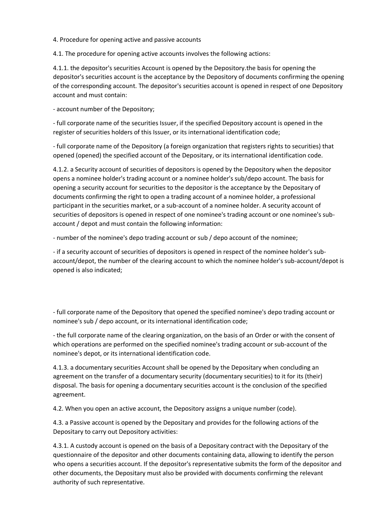4. Procedure for opening active and passive accounts

4.1. The procedure for opening active accounts involves the following actions:

4.1.1. the depositor's securities Account is opened by the Depository.the basis for opening the depositor's securities account is the acceptance by the Depository of documents confirming the opening of the corresponding account. The depositor's securities account is opened in respect of one Depository account and must contain:

- account number of the Depository;

- full corporate name of the securities Issuer, if the specified Depository account is opened in the register of securities holders of this Issuer, or its international identification code;

- full corporate name of the Depository (a foreign organization that registers rights to securities) that opened (opened) the specified account of the Depositary, or its international identification code.

4.1.2. a Security account of securities of depositors is opened by the Depository when the depositor opens a nominee holder's trading account or a nominee holder's sub/depo account. The basis for opening a security account for securities to the depositor is the acceptance by the Depositary of documents confirming the right to open a trading account of a nominee holder, a professional participant in the securities market, or a sub-account of a nominee holder. A security account of securities of depositors is opened in respect of one nominee's trading account or one nominee's subaccount / depot and must contain the following information:

- number of the nominee's depo trading account or sub / depo account of the nominee;

- if a security account of securities of depositors is opened in respect of the nominee holder's subaccount/depot, the number of the clearing account to which the nominee holder's sub-account/depot is opened is also indicated;

- full corporate name of the Depository that opened the specified nominee's depo trading account or nominee's sub / depo account, or its international identification code;

- the full corporate name of the clearing organization, on the basis of an Order or with the consent of which operations are performed on the specified nominee's trading account or sub-account of the nominee's depot, or its international identification code.

4.1.3. a documentary securities Account shall be opened by the Depositary when concluding an agreement on the transfer of a documentary security (documentary securities) to it for its (their) disposal. The basis for opening a documentary securities account is the conclusion of the specified agreement.

4.2. When you open an active account, the Depository assigns a unique number (code).

4.3. a Passive account is opened by the Depositary and provides for the following actions of the Depositary to carry out Depository activities:

4.3.1. A custody account is opened on the basis of a Depositary contract with the Depositary of the questionnaire of the depositor and other documents containing data, allowing to identify the person who opens a securities account. If the depositor's representative submits the form of the depositor and other documents, the Depositary must also be provided with documents confirming the relevant authority of such representative.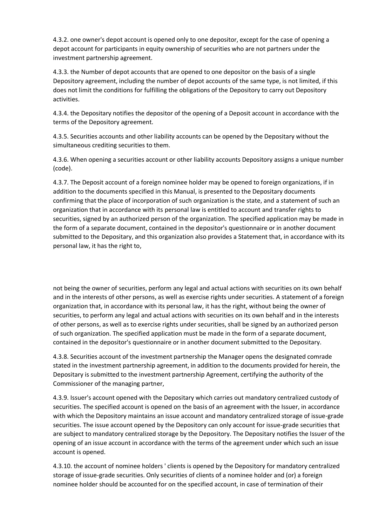4.3.2. one owner's depot account is opened only to one depositor, except for the case of opening a depot account for participants in equity ownership of securities who are not partners under the investment partnership agreement.

4.3.3. the Number of depot accounts that are opened to one depositor on the basis of a single Depository agreement, including the number of depot accounts of the same type, is not limited, if this does not limit the conditions for fulfilling the obligations of the Depository to carry out Depository activities.

4.3.4. the Depositary notifies the depositor of the opening of a Deposit account in accordance with the terms of the Depository agreement.

4.3.5. Securities accounts and other liability accounts can be opened by the Depositary without the simultaneous crediting securities to them.

4.3.6. When opening a securities account or other liability accounts Depository assigns a unique number (code).

4.3.7. The Deposit account of a foreign nominee holder may be opened to foreign organizations, if in addition to the documents specified in this Manual, is presented to the Depositary documents confirming that the place of incorporation of such organization is the state, and a statement of such an organization that in accordance with its personal law is entitled to account and transfer rights to securities, signed by an authorized person of the organization. The specified application may be made in the form of a separate document, contained in the depositor's questionnaire or in another document submitted to the Depositary, and this organization also provides a Statement that, in accordance with its personal law, it has the right to,

not being the owner of securities, perform any legal and actual actions with securities on its own behalf and in the interests of other persons, as well as exercise rights under securities. A statement of a foreign organization that, in accordance with its personal law, it has the right, without being the owner of securities, to perform any legal and actual actions with securities on its own behalf and in the interests of other persons, as well as to exercise rights under securities, shall be signed by an authorized person of such organization. The specified application must be made in the form of a separate document, contained in the depositor's questionnaire or in another document submitted to the Depositary.

4.3.8. Securities account of the investment partnership the Manager opens the designated comrade stated in the investment partnership agreement, in addition to the documents provided for herein, the Depositary is submitted to the investment partnership Agreement, certifying the authority of the Commissioner of the managing partner,

4.3.9. Issuer's account opened with the Depositary which carries out mandatory centralized custody of securities. The specified account is opened on the basis of an agreement with the Issuer, in accordance with which the Depository maintains an issue account and mandatory centralized storage of issue-grade securities. The issue account opened by the Depository can only account for issue-grade securities that are subject to mandatory centralized storage by the Depository. The Depositary notifies the Issuer of the opening of an issue account in accordance with the terms of the agreement under which such an issue account is opened.

4.3.10. the account of nominee holders ' clients is opened by the Depository for mandatory centralized storage of issue-grade securities. Only securities of clients of a nominee holder and (or) a foreign nominee holder should be accounted for on the specified account, in case of termination of their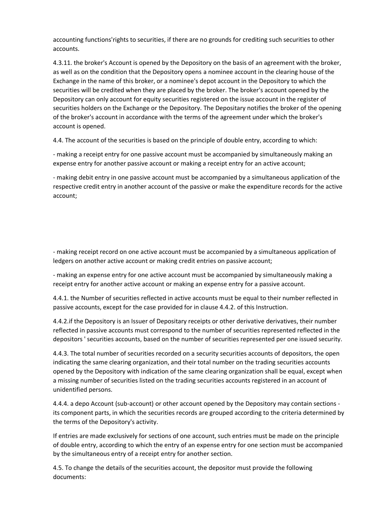accounting functions'rights to securities, if there are no grounds for crediting such securities to other accounts.

4.3.11. the broker's Account is opened by the Depository on the basis of an agreement with the broker, as well as on the condition that the Depository opens a nominee account in the clearing house of the Exchange in the name of this broker, or a nominee's depot account in the Depository to which the securities will be credited when they are placed by the broker. The broker's account opened by the Depository can only account for equity securities registered on the issue account in the register of securities holders on the Exchange or the Depository. The Depositary notifies the broker of the opening of the broker's account in accordance with the terms of the agreement under which the broker's account is opened.

4.4. The account of the securities is based on the principle of double entry, according to which:

- making a receipt entry for one passive account must be accompanied by simultaneously making an expense entry for another passive account or making a receipt entry for an active account;

- making debit entry in one passive account must be accompanied by a simultaneous application of the respective credit entry in another account of the passive or make the expenditure records for the active account;

- making receipt record on one active account must be accompanied by a simultaneous application of ledgers on another active account or making credit entries on passive account;

- making an expense entry for one active account must be accompanied by simultaneously making a receipt entry for another active account or making an expense entry for a passive account.

4.4.1. the Number of securities reflected in active accounts must be equal to their number reflected in passive accounts, except for the case provided for in clause 4.4.2. of this Instruction.

4.4.2.if the Depository is an Issuer of Depositary receipts or other derivative derivatives, their number reflected in passive accounts must correspond to the number of securities represented reflected in the depositors ' securities accounts, based on the number of securities represented per one issued security.

4.4.3. The total number of securities recorded on a security securities accounts of depositors, the open indicating the same clearing organization, and their total number on the trading securities accounts opened by the Depository with indication of the same clearing organization shall be equal, except when a missing number of securities listed on the trading securities accounts registered in an account of unidentified persons.

4.4.4. a depo Account (sub-account) or other account opened by the Depository may contain sections its component parts, in which the securities records are grouped according to the criteria determined by the terms of the Depository's activity.

If entries are made exclusively for sections of one account, such entries must be made on the principle of double entry, according to which the entry of an expense entry for one section must be accompanied by the simultaneous entry of a receipt entry for another section.

4.5. To change the details of the securities account, the depositor must provide the following documents: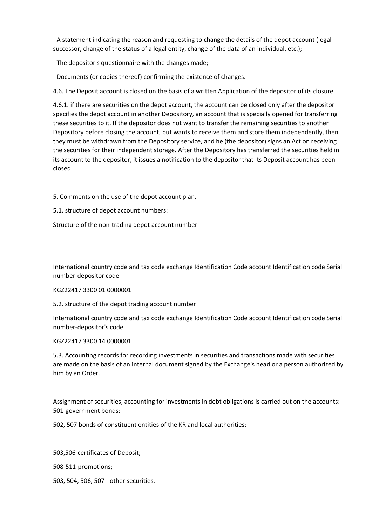- A statement indicating the reason and requesting to change the details of the depot account (legal successor, change of the status of a legal entity, change of the data of an individual, etc.);

- The depositor's questionnaire with the changes made;

- Documents (or copies thereof) confirming the existence of changes.

4.6. The Deposit account is closed on the basis of a written Application of the depositor of its closure.

4.6.1. if there are securities on the depot account, the account can be closed only after the depositor specifies the depot account in another Depository, an account that is specially opened for transferring these securities to it. If the depositor does not want to transfer the remaining securities to another Depository before closing the account, but wants to receive them and store them independently, then they must be withdrawn from the Depository service, and he (the depositor) signs an Act on receiving the securities for their independent storage. After the Depository has transferred the securities held in its account to the depositor, it issues a notification to the depositor that its Deposit account has been closed

5. Comments on the use of the depot account plan.

5.1. structure of depot account numbers:

Structure of the non-trading depot account number

International country code and tax code exchange Identification Code account Identification code Serial number-depositor code

### KGZ22417 3300 01 0000001

5.2. structure of the depot trading account number

International country code and tax code exchange Identification Code account Identification code Serial number-depositor's code

KGZ22417 3300 14 0000001

5.3. Accounting records for recording investments in securities and transactions made with securities are made on the basis of an internal document signed by the Exchange's head or a person authorized by him by an Order.

Assignment of securities, accounting for investments in debt obligations is carried out on the accounts: 501-government bonds;

502, 507 bonds of constituent entities of the KR and local authorities;

503,506-certificates of Deposit; 508-511-promotions; 503, 504, 506, 507 - other securities.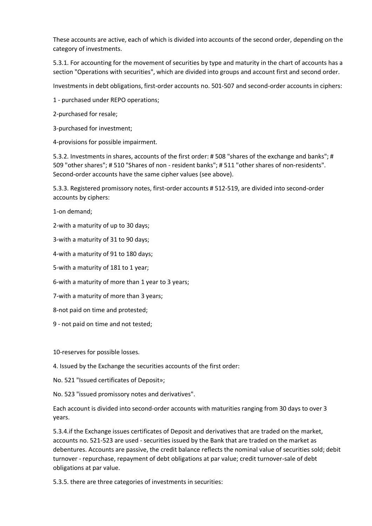These accounts are active, each of which is divided into accounts of the second order, depending on the category of investments.

5.3.1. For accounting for the movement of securities by type and maturity in the chart of accounts has a section "Operations with securities", which are divided into groups and account first and second order.

Investments in debt obligations, first-order accounts no. 501-507 and second-order accounts in ciphers:

1 - purchased under REPO operations;

2-purchased for resale;

3-purchased for investment;

4-provisions for possible impairment.

5.3.2. Investments in shares, accounts of the first order: # 508 "shares of the exchange and banks"; # 509 "other shares"; # 510 "Shares of non - resident banks"; # 511 "other shares of non-residents". Second-order accounts have the same cipher values (see above).

5.3.3. Registered promissory notes, first-order accounts # 512-519, are divided into second-order accounts by ciphers:

1-on demand;

2-with a maturity of up to 30 days;

3-with a maturity of 31 to 90 days;

4-with a maturity of 91 to 180 days;

5-with a maturity of 181 to 1 year;

6-with a maturity of more than 1 year to 3 years;

7-with a maturity of more than 3 years;

8-not paid on time and protested;

9 - not paid on time and not tested;

10-reserves for possible losses.

4. Issued by the Exchange the securities accounts of the first order:

No. 521 "Issued certificates of Deposit»;

No. 523 "issued promissory notes and derivatives".

Each account is divided into second-order accounts with maturities ranging from 30 days to over 3 years.

5.3.4.if the Exchange issues certificates of Deposit and derivatives that are traded on the market, accounts no. 521-523 are used - securities issued by the Bank that are traded on the market as debentures. Accounts are passive, the credit balance reflects the nominal value of securities sold; debit turnover - repurchase, repayment of debt obligations at par value; credit turnover-sale of debt obligations at par value.

5.3.5. there are three categories of investments in securities: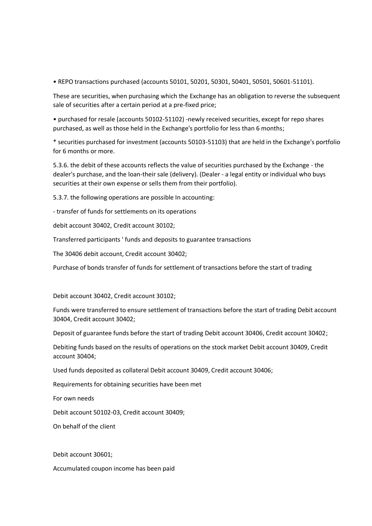• REPO transactions purchased (accounts 50101, 50201, 50301, 50401, 50501, 50601-51101).

These are securities, when purchasing which the Exchange has an obligation to reverse the subsequent sale of securities after a certain period at a pre-fixed price;

• purchased for resale (accounts 50102-51102) -newly received securities, except for repo shares purchased, as well as those held in the Exchange's portfolio for less than 6 months;

\* securities purchased for investment (accounts 50103-51103) that are held in the Exchange's portfolio for 6 months or more.

5.3.6. the debit of these accounts reflects the value of securities purchased by the Exchange - the dealer's purchase, and the loan-their sale (delivery). (Dealer - a legal entity or individual who buys securities at their own expense or sells them from their portfolio).

5.3.7. the following operations are possible In accounting:

- transfer of funds for settlements on its operations

debit account 30402, Credit account 30102;

Transferred participants ' funds and deposits to guarantee transactions

The 30406 debit account, Credit account 30402;

Purchase of bonds transfer of funds for settlement of transactions before the start of trading

Debit account 30402, Credit account 30102;

Funds were transferred to ensure settlement of transactions before the start of trading Debit account 30404, Credit account 30402;

Deposit of guarantee funds before the start of trading Debit account 30406, Credit account 30402;

Debiting funds based on the results of operations on the stock market Debit account 30409, Credit account 30404;

Used funds deposited as collateral Debit account 30409, Credit account 30406;

Requirements for obtaining securities have been met

For own needs

Debit account 50102-03, Credit account 30409;

On behalf of the client

Debit account 30601;

Accumulated coupon income has been paid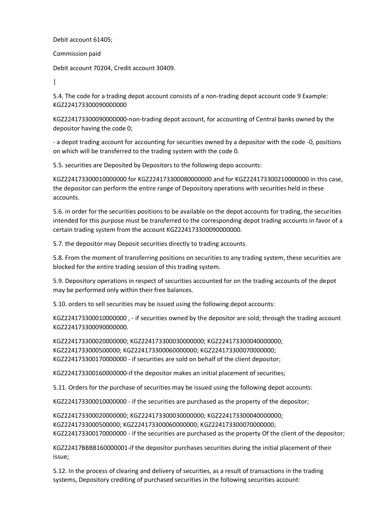Debit account 61405;

Commission paid

Debit account 70204, Credit account 30409.

 $\blacksquare$ 

5.4. The code for a trading depot account consists of a non-trading depot account code 9 Example: KGZ224173300090000000

KGZ224173300090000000-non-trading depot account, for accounting of Central banks owned by the depositor having the code 0;

- a depot trading account for accounting for securities owned by a depositor with the code -0, positions on which will be transferred to the trading system with the code 0.

5.5. securities are Deposited by Depositors to the following depo accounts:

KGZ224173300010000000 for KGZ224173300080000000 and for KGZ224173300210000000 in this case, the depositor can perform the entire range of Depository operations with securities held in these accounts.

5.6. in order for the securities positions to be available on the depot accounts for trading, the securities intended for this purpose must be transferred to the corresponding depot trading accounts in favor of a certain trading system from the account KGZ224173300090000000.

5.7. the depositor may Deposit securities directly to trading accounts.

5.8. From the moment of transferring positions on securities to any trading system, these securities are blocked for the entire trading session of this trading system.

5.9. Depository operations in respect of securities accounted for on the trading accounts of the depot may be performed only within their free balances.

5.10. orders to sell securities may be issued using the following depot accounts:

KGZ224173300010000000 , - if securities owned by the depositor are sold; through the trading account KGZ224173300090000000.

KGZ224173300020000000; KGZ224173300030000000; KGZ224173300040000000; KGZ2241733000500000; KGZ224173300060000000; KGZ224173300070000000; KGZ224173300170000000 - if securities are sold on behalf of the client depositor;

KGZ224173300160000000-if the depositor makes an initial placement of securities;

5.11. Orders for the purchase of securities may be issued using the following depot accounts:

KGZ224173300010000000 - if the securities are purchased as the property of the depositor;

KGZ224173300020000000; KGZ224173300030000000; KGZ224173300040000000; KGZ2241733000500000; KGZ224173300060000000; KGZ224173300070000000; KGZ224173300170000000 - if the securities are purchased as the property Of the client of the depositor;

KGZ22417BBBB160000001-if the depositor purchases securities during the initial placement of their issue;

5.12. In the process of clearing and delivery of securities, as a result of transactions in the trading systems, Depository crediting of purchased securities in the following securities account: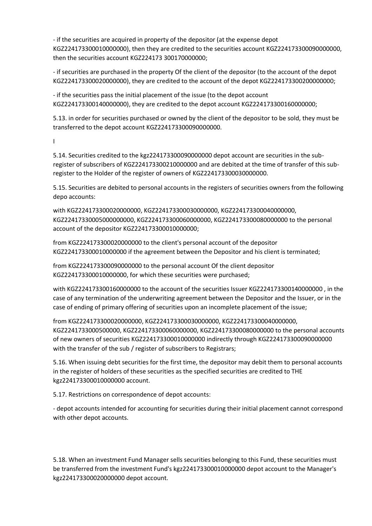- if the securities are acquired in property of the depositor (at the expense depot KGZ224173300010000000), then they are credited to the securities account KGZ224173300090000000, then the securities account KGZ224173 300170000000;

- if securities are purchased in the property Of the client of the depositor (to the account of the depot KGZ224173300020000000), they are credited to the account of the depot KGZ224173300200000000;

- if the securities pass the initial placement of the issue (to the depot account KGZ224173300140000000), they are credited to the depot account KGZ224173300160000000;

5.13. in order for securities purchased or owned by the client of the depositor to be sold, they must be transferred to the depot account KGZ224173300090000000.

I

5.14. Securities credited to the kgz224173300090000000 depot account are securities in the subregister of subscribers of KGZ224173300210000000 and are debited at the time of transfer of this subregister to the Holder of the register of owners of KGZ224173300030000000.

5.15. Securities are debited to personal accounts in the registers of securities owners from the following depo accounts:

with KGZ224173300020000000, KGZ224173300030000000, KGZ224173300040000000, KGZ22417330005000000000, KGZ224173300060000000, KGZ224173300080000000 to the personal account of the depositor KGZ224173300010000000;

from KGZ224173300020000000 to the client's personal account of the depositor KGZ224173300010000000 if the agreement between the Depositor and his client is terminated;

from KGZ224173300090000000 to the personal account Of the client depositor KGZ224173300010000000, for which these securities were purchased;

with KGZ224173300160000000 to the account of the securities Issuer KGZ224173300140000000 , in the case of any termination of the underwriting agreement between the Depositor and the Issuer, or in the case of ending of primary offering of securities upon an incomplete placement of the issue;

from KGZ224173300020000000, KGZ224173300030000000, KGZ224173300040000000, KGZ2241733000500000, KGZ224173300060000000, KGZ224173300080000000 to the personal accounts of new owners of securities KGZ224173300010000000 indirectly through KGZ224173300090000000 with the transfer of the sub / register of subscribers to Registrars;

5.16. When issuing debt securities for the first time, the depositor may debit them to personal accounts in the register of holders of these securities as the specified securities are credited to THE kgz224173300010000000 account.

5.17. Restrictions on correspondence of depot accounts:

- depot accounts intended for accounting for securities during their initial placement cannot correspond with other depot accounts.

5.18. When an investment Fund Manager sells securities belonging to this Fund, these securities must be transferred from the investment Fund's kgz224173300010000000 depot account to the Manager's kgz224173300020000000 depot account.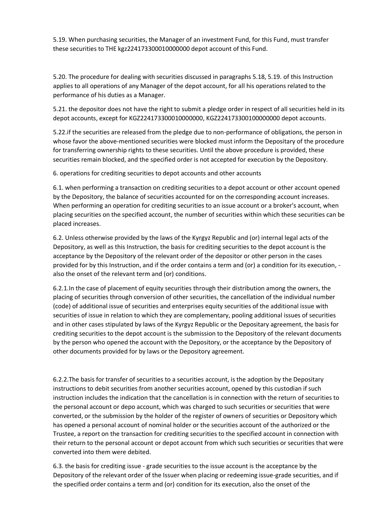5.19. When purchasing securities, the Manager of an investment Fund, for this Fund, must transfer these securities to THE kgz224173300010000000 depot account of this Fund.

5.20. The procedure for dealing with securities discussed in paragraphs 5.18, 5.19. of this Instruction applies to all operations of any Manager of the depot account, for all his operations related to the performance of his duties as a Manager.

5.21. the depositor does not have the right to submit a pledge order in respect of all securities held in its depot accounts, except for KGZ224173300010000000, KGZ224173300100000000 depot accounts.

5.22.if the securities are released from the pledge due to non-performance of obligations, the person in whose favor the above-mentioned securities were blocked must inform the Depositary of the procedure for transferring ownership rights to these securities. Until the above procedure is provided, these securities remain blocked, and the specified order is not accepted for execution by the Depository.

6. operations for crediting securities to depot accounts and other accounts

6.1. when performing a transaction on crediting securities to a depot account or other account opened by the Depository, the balance of securities accounted for on the corresponding account increases. When performing an operation for crediting securities to an issue account or a broker's account, when placing securities on the specified account, the number of securities within which these securities can be placed increases.

6.2. Unless otherwise provided by the laws of the Kyrgyz Republic and (or) internal legal acts of the Depository, as well as this Instruction, the basis for crediting securities to the depot account is the acceptance by the Depository of the relevant order of the depositor or other person in the cases provided for by this Instruction, and if the order contains a term and (or) a condition for its execution, also the onset of the relevant term and (or) conditions.

6.2.1.In the case of placement of equity securities through their distribution among the owners, the placing of securities through conversion of other securities, the cancellation of the individual number (code) of additional issue of securities and enterprises equity securities of the additional issue with securities of issue in relation to which they are complementary, pooling additional issues of securities and in other cases stipulated by laws of the Kyrgyz Republic or the Depositary agreement, the basis for crediting securities to the depot account is the submission to the Depository of the relevant documents by the person who opened the account with the Depository, or the acceptance by the Depository of other documents provided for by laws or the Depository agreement.

6.2.2.The basis for transfer of securities to a securities account, is the adoption by the Depositary instructions to debit securities from another securities account, opened by this custodian if such instruction includes the indication that the cancellation is in connection with the return of securities to the personal account or depo account, which was charged to such securities or securities that were converted, or the submission by the holder of the register of owners of securities or Depository which has opened a personal account of nominal holder or the securities account of the authorized or the Trustee, a report on the transaction for crediting securities to the specified account in connection with their return to the personal account or depot account from which such securities or securities that were converted into them were debited.

6.3. the basis for crediting issue - grade securities to the issue account is the acceptance by the Depository of the relevant order of the Issuer when placing or redeeming issue-grade securities, and if the specified order contains a term and (or) condition for its execution, also the onset of the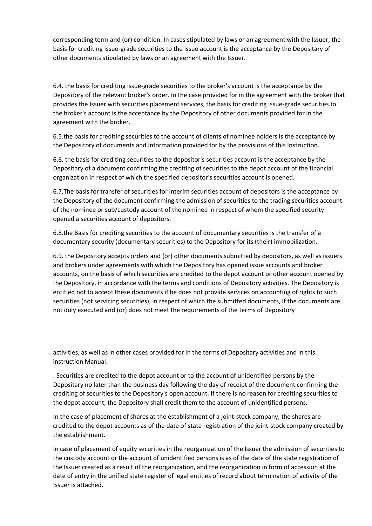corresponding term and (or) condition. In cases stipulated by laws or an agreement with the Issuer, the basis for crediting issue-grade securities to the issue account is the acceptance by the Depositary of other documents stipulated by laws or an agreement with the Issuer.

6.4. the basis for crediting issue-grade securities to the broker's account is the acceptance by the Depository of the relevant broker's order. In the case provided for in the agreement with the broker that provides the Issuer with securities placement services, the basis for crediting issue-grade securities to the broker's account is the acceptance by the Depository of other documents provided for in the agreement with the broker.

6.5.the basis for crediting securities to the account of clients of nominee holders is the acceptance by the Depository of documents and information provided for by the provisions of this Instruction.

6.6. the basis for crediting securities to the depositor's securities account is the acceptance by the Depositary of a document confirming the crediting of securities to the depot account of the financial organization in respect of which the specified depositor's securities account is opened.

6.7.The basis for transfer of securities for interim securities account of depositors is the acceptance by the Depository of the document confirming the admission of securities to the trading securities account of the nominee or sub/custody account of the nominee in respect of whom the specified security opened a securities account of depositors.

6.8.the Basis for crediting securities to the account of documentary securities is the transfer of a documentary security (documentary securities) to the Depository for its (their) immobilization.

6.9. the Depository accepts orders and (or) other documents submitted by depositors, as well as issuers and brokers under agreements with which the Depository has opened issue accounts and broker accounts, on the basis of which securities are credited to the depot account or other account opened by the Depository, in accordance with the terms and conditions of Depository activities. The Depository is entitled not to accept these documents if he does not provide services on accounting of rights to such securities (not servicing securities), in respect of which the submitted documents, if the documents are not duly executed and (or) does not meet the requirements of the terms of Depository

activities, as well as in other cases provided for in the terms of Depositary activities and in this instruction Manual.

. Securities are credited to the depot account or to the account of unidentified persons by the Depositary no later than the business day following the day of receipt of the document confirming the crediting of securities to the Depository's open account. If there is no reason for crediting securities to the depot account, the Depository shall credit them to the account of unidentified persons.

In the case of placement of shares at the establishment of a joint-stock company, the shares are credited to the depot accounts as of the date of state registration of the joint-stock company created by the establishment.

In case of placement of equity securities in the reorganization of the Issuer the admission of securities to the custody account or the account of unidentified persons is as of the date of the state registration of the Issuer created as a result of the reorganization, and the reorganization in form of accession at the date of entry in the unified state register of legal entities of record about termination of activity of the Issuer is attached.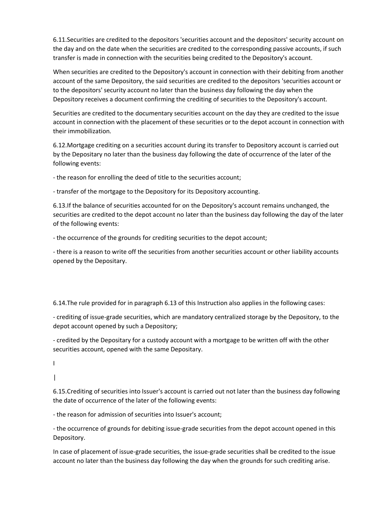6.11.Securities are credited to the depositors 'securities account and the depositors' security account on the day and on the date when the securities are credited to the corresponding passive accounts, if such transfer is made in connection with the securities being credited to the Depository's account.

When securities are credited to the Depository's account in connection with their debiting from another account of the same Depository, the said securities are credited to the depositors 'securities account or to the depositors' security account no later than the business day following the day when the Depository receives a document confirming the crediting of securities to the Depository's account.

Securities are credited to the documentary securities account on the day they are credited to the issue account in connection with the placement of these securities or to the depot account in connection with their immobilization.

6.12.Mortgage crediting on a securities account during its transfer to Depository account is carried out by the Depositary no later than the business day following the date of occurrence of the later of the following events:

- the reason for enrolling the deed of title to the securities account;

- transfer of the mortgage to the Depository for its Depository accounting.

6.13.If the balance of securities accounted for on the Depository's account remains unchanged, the securities are credited to the depot account no later than the business day following the day of the later of the following events:

- the occurrence of the grounds for crediting securities to the depot account;

- there is a reason to write off the securities from another securities account or other liability accounts opened by the Depositary.

6.14.The rule provided for in paragraph 6.13 of this Instruction also applies in the following cases:

- crediting of issue-grade securities, which are mandatory centralized storage by the Depository, to the depot account opened by such a Depository;

- credited by the Depositary for a custody account with a mortgage to be written off with the other securities account, opened with the same Depositary.

I

|

6.15.Crediting of securities into Issuer's account is carried out not later than the business day following the date of occurrence of the later of the following events:

- the reason for admission of securities into Issuer's account;

- the occurrence of grounds for debiting issue-grade securities from the depot account opened in this Depository.

In case of placement of issue-grade securities, the issue-grade securities shall be credited to the issue account no later than the business day following the day when the grounds for such crediting arise.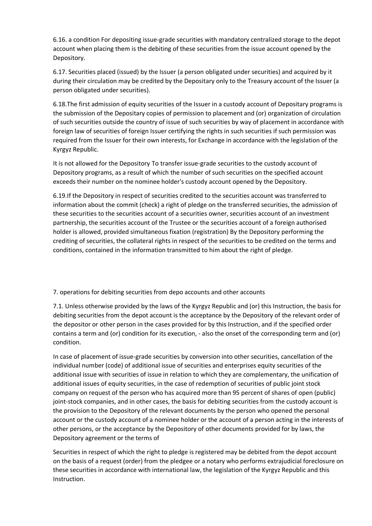6.16. a condition For depositing issue-grade securities with mandatory centralized storage to the depot account when placing them is the debiting of these securities from the issue account opened by the Depository.

6.17. Securities placed (issued) by the Issuer (a person obligated under securities) and acquired by it during their circulation may be credited by the Depositary only to the Treasury account of the Issuer (a person obligated under securities).

6.18.The first admission of equity securities of the Issuer in a custody account of Depositary programs is the submission of the Depositary copies of permission to placement and (or) organization of circulation of such securities outside the country of issue of such securities by way of placement in accordance with foreign law of securities of foreign Issuer certifying the rights in such securities if such permission was required from the Issuer for their own interests, for Exchange in accordance with the legislation of the Kyrgyz Republic.

It is not allowed for the Depository To transfer issue-grade securities to the custody account of Depository programs, as a result of which the number of such securities on the specified account exceeds their number on the nominee holder's custody account opened by the Depository.

6.19.If the Depository in respect of securities credited to the securities account was transferred to information about the commit (check) a right of pledge on the transferred securities, the admission of these securities to the securities account of a securities owner, securities account of an investment partnership, the securities account of the Trustee or the securities account of a foreign authorised holder is allowed, provided simultaneous fixation (registration) By the Depository performing the crediting of securities, the collateral rights in respect of the securities to be credited on the terms and conditions, contained in the information transmitted to him about the right of pledge.

7. operations for debiting securities from depo accounts and other accounts

7.1. Unless otherwise provided by the laws of the Kyrgyz Republic and (or) this Instruction, the basis for debiting securities from the depot account is the acceptance by the Depository of the relevant order of the depositor or other person in the cases provided for by this Instruction, and if the specified order contains a term and (or) condition for its execution, - also the onset of the corresponding term and (or) condition.

In case of placement of issue-grade securities by conversion into other securities, cancellation of the individual number (code) of additional issue of securities and enterprises equity securities of the additional issue with securities of issue in relation to which they are complementary, the unification of additional issues of equity securities, in the case of redemption of securities of public joint stock company on request of the person who has acquired more than 95 percent of shares of open (public) joint-stock companies, and in other cases, the basis for debiting securities from the custody account is the provision to the Depository of the relevant documents by the person who opened the personal account or the custody account of a nominee holder or the account of a person acting in the interests of other persons, or the acceptance by the Depository of other documents provided for by laws, the Depository agreement or the terms of

Securities in respect of which the right to pledge is registered may be debited from the depot account on the basis of a request (order) from the pledgee or a notary who performs extrajudicial foreclosure on these securities in accordance with international law, the legislation of the Kyrgyz Republic and this Instruction.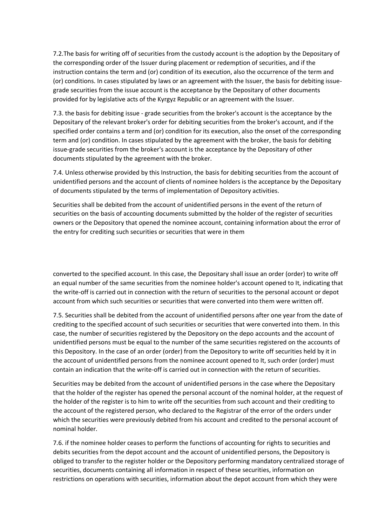7.2.The basis for writing off of securities from the custody account is the adoption by the Depositary of the corresponding order of the Issuer during placement or redemption of securities, and if the instruction contains the term and (or) condition of its execution, also the occurrence of the term and (or) conditions. In cases stipulated by laws or an agreement with the Issuer, the basis for debiting issuegrade securities from the issue account is the acceptance by the Depositary of other documents provided for by legislative acts of the Kyrgyz Republic or an agreement with the Issuer.

7.3. the basis for debiting issue - grade securities from the broker's account is the acceptance by the Depositary of the relevant broker's order for debiting securities from the broker's account, and if the specified order contains a term and (or) condition for its execution, also the onset of the corresponding term and (or) condition. In cases stipulated by the agreement with the broker, the basis for debiting issue-grade securities from the broker's account is the acceptance by the Depositary of other documents stipulated by the agreement with the broker.

7.4. Unless otherwise provided by this Instruction, the basis for debiting securities from the account of unidentified persons and the account of clients of nominee holders is the acceptance by the Depositary of documents stipulated by the terms of implementation of Depository activities.

Securities shall be debited from the account of unidentified persons in the event of the return of securities on the basis of accounting documents submitted by the holder of the register of securities owners or the Depository that opened the nominee account, containing information about the error of the entry for crediting such securities or securities that were in them

converted to the specified account. In this case, the Depositary shall issue an order (order) to write off an equal number of the same securities from the nominee holder's account opened to It, indicating that the write-off is carried out in connection with the return of securities to the personal account or depot account from which such securities or securities that were converted into them were written off.

7.5. Securities shall be debited from the account of unidentified persons after one year from the date of crediting to the specified account of such securities or securities that were converted into them. In this case, the number of securities registered by the Depository on the depo accounts and the account of unidentified persons must be equal to the number of the same securities registered on the accounts of this Depository. In the case of an order (order) from the Depository to write off securities held by it in the account of unidentified persons from the nominee account opened to It, such order (order) must contain an indication that the write-off is carried out in connection with the return of securities.

Securities may be debited from the account of unidentified persons in the case where the Depositary that the holder of the register has opened the personal account of the nominal holder, at the request of the holder of the register is to him to write off the securities from such account and their crediting to the account of the registered person, who declared to the Registrar of the error of the orders under which the securities were previously debited from his account and credited to the personal account of nominal holder.

7.6. if the nominee holder ceases to perform the functions of accounting for rights to securities and debits securities from the depot account and the account of unidentified persons, the Depository is obliged to transfer to the register holder or the Depository performing mandatory centralized storage of securities, documents containing all information in respect of these securities, information on restrictions on operations with securities, information about the depot account from which they were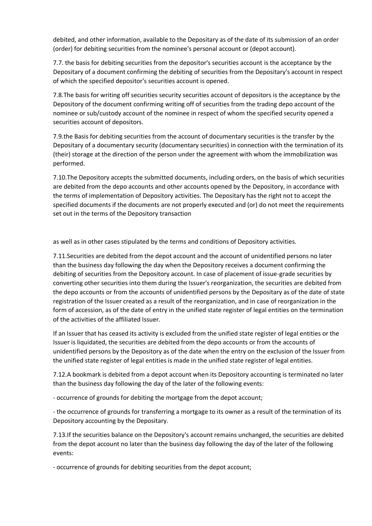debited, and other information, available to the Depositary as of the date of its submission of an order (order) for debiting securities from the nominee's personal account or (depot account).

7.7. the basis for debiting securities from the depositor's securities account is the acceptance by the Depositary of a document confirming the debiting of securities from the Depositary's account in respect of which the specified depositor's securities account is opened.

7.8.The basis for writing off securities security securities account of depositors is the acceptance by the Depository of the document confirming writing off of securities from the trading depo account of the nominee or sub/custody account of the nominee in respect of whom the specified security opened a securities account of depositors.

7.9.the Basis for debiting securities from the account of documentary securities is the transfer by the Depositary of a documentary security (documentary securities) in connection with the termination of its (their) storage at the direction of the person under the agreement with whom the immobilization was performed.

7.10.The Depository accepts the submitted documents, including orders, on the basis of which securities are debited from the depo accounts and other accounts opened by the Depository, in accordance with the terms of implementation of Depository activities. The Depositary has the right not to accept the specified documents if the documents are not properly executed and (or) do not meet the requirements set out in the terms of the Depository transaction

as well as in other cases stipulated by the terms and conditions of Depository activities.

7.11.Securities are debited from the depot account and the account of unidentified persons no later than the business day following the day when the Depository receives a document confirming the debiting of securities from the Depository account. In case of placement of issue-grade securities by converting other securities into them during the Issuer's reorganization, the securities are debited from the depo accounts or from the accounts of unidentified persons by the Depositary as of the date of state registration of the Issuer created as a result of the reorganization, and in case of reorganization in the form of accession, as of the date of entry in the unified state register of legal entities on the termination of the activities of the affiliated Issuer.

If an Issuer that has ceased its activity is excluded from the unified state register of legal entities or the Issuer is liquidated, the securities are debited from the depo accounts or from the accounts of unidentified persons by the Depository as of the date when the entry on the exclusion of the Issuer from the unified state register of legal entities is made in the unified state register of legal entities.

7.12.A bookmark is debited from a depot account when its Depository accounting is terminated no later than the business day following the day of the later of the following events:

- occurrence of grounds for debiting the mortgage from the depot account;

- the occurrence of grounds for transferring a mortgage to its owner as a result of the termination of its Depository accounting by the Depositary.

7.13.If the securities balance on the Depository's account remains unchanged, the securities are debited from the depot account no later than the business day following the day of the later of the following events:

- occurrence of grounds for debiting securities from the depot account;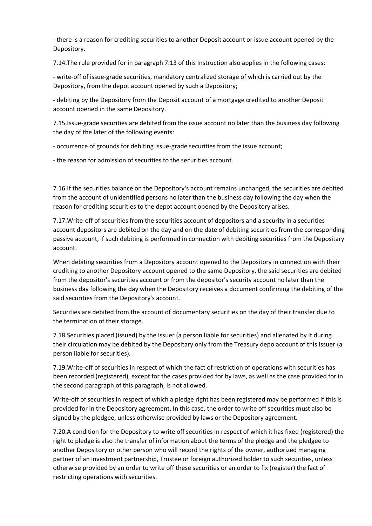- there is a reason for crediting securities to another Deposit account or issue account opened by the Depository.

7.14.The rule provided for in paragraph 7.13 of this Instruction also applies in the following cases:

- write-off of issue-grade securities, mandatory centralized storage of which is carried out by the Depository, from the depot account opened by such a Depository;

- debiting by the Depository from the Deposit account of a mortgage credited to another Deposit account opened in the same Depository.

7.15.Issue-grade securities are debited from the issue account no later than the business day following the day of the later of the following events:

- occurrence of grounds for debiting issue-grade securities from the issue account;

- the reason for admission of securities to the securities account.

7.16.If the securities balance on the Depository's account remains unchanged, the securities are debited from the account of unidentified persons no later than the business day following the day when the reason for crediting securities to the depot account opened by the Depository arises.

7.17.Write-off of securities from the securities account of depositors and a security in a securities account depositors are debited on the day and on the date of debiting securities from the corresponding passive account, if such debiting is performed in connection with debiting securities from the Depositary account.

When debiting securities from a Depository account opened to the Depository in connection with their crediting to another Depository account opened to the same Depository, the said securities are debited from the depositor's securities account or from the depositor's security account no later than the business day following the day when the Depository receives a document confirming the debiting of the said securities from the Depository's account.

Securities are debited from the account of documentary securities on the day of their transfer due to the termination of their storage.

7.18.Securities placed (issued) by the Issuer (a person liable for securities) and alienated by it during their circulation may be debited by the Depositary only from the Treasury depo account of this Issuer (a person liable for securities).

7.19.Write-off of securities in respect of which the fact of restriction of operations with securities has been recorded (registered), except for the cases provided for by laws, as well as the case provided for in the second paragraph of this paragraph, is not allowed.

Write-off of securities in respect of which a pledge right has been registered may be performed if this is provided for in the Depository agreement. In this case, the order to write off securities must also be signed by the pledgee, unless otherwise provided by laws or the Depository agreement.

7.20.A condition for the Depository to write off securities in respect of which it has fixed (registered) the right to pledge is also the transfer of information about the terms of the pledge and the pledgee to another Depository or other person who will record the rights of the owner, authorized managing partner of an investment partnership, Trustee or foreign authorized holder to such securities, unless otherwise provided by an order to write off these securities or an order to fix (register) the fact of restricting operations with securities.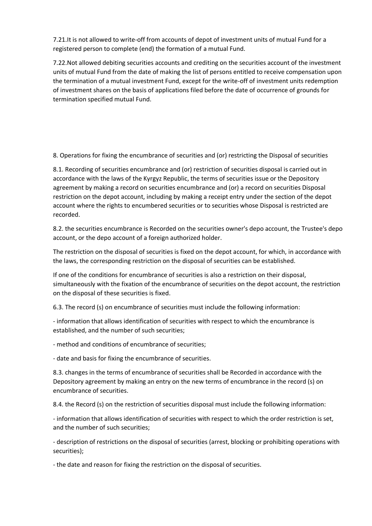7.21.It is not allowed to write-off from accounts of depot of investment units of mutual Fund for a registered person to complete (end) the formation of a mutual Fund.

7.22.Not allowed debiting securities accounts and crediting on the securities account of the investment units of mutual Fund from the date of making the list of persons entitled to receive compensation upon the termination of a mutual investment Fund, except for the write-off of investment units redemption of investment shares on the basis of applications filed before the date of occurrence of grounds for termination specified mutual Fund.

8. Operations for fixing the encumbrance of securities and (or) restricting the Disposal of securities

8.1. Recording of securities encumbrance and (or) restriction of securities disposal is carried out in accordance with the laws of the Kyrgyz Republic, the terms of securities issue or the Depository agreement by making a record on securities encumbrance and (or) a record on securities Disposal restriction on the depot account, including by making a receipt entry under the section of the depot account where the rights to encumbered securities or to securities whose Disposal is restricted are recorded.

8.2. the securities encumbrance is Recorded on the securities owner's depo account, the Trustee's depo account, or the depo account of a foreign authorized holder.

The restriction on the disposal of securities is fixed on the depot account, for which, in accordance with the laws, the corresponding restriction on the disposal of securities can be established.

If one of the conditions for encumbrance of securities is also a restriction on their disposal, simultaneously with the fixation of the encumbrance of securities on the depot account, the restriction on the disposal of these securities is fixed.

6.3. The record (s) on encumbrance of securities must include the following information:

- information that allows identification of securities with respect to which the encumbrance is established, and the number of such securities;

- method and conditions of encumbrance of securities;

- date and basis for fixing the encumbrance of securities.

8.3. changes in the terms of encumbrance of securities shall be Recorded in accordance with the Depository agreement by making an entry on the new terms of encumbrance in the record (s) on encumbrance of securities.

8.4. the Record (s) on the restriction of securities disposal must include the following information:

- information that allows identification of securities with respect to which the order restriction is set, and the number of such securities;

- description of restrictions on the disposal of securities (arrest, blocking or prohibiting operations with securities);

- the date and reason for fixing the restriction on the disposal of securities.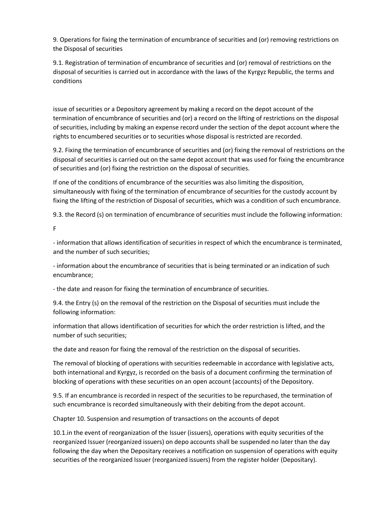9. Operations for fixing the termination of encumbrance of securities and (or) removing restrictions on the Disposal of securities

9.1. Registration of termination of encumbrance of securities and (or) removal of restrictions on the disposal of securities is carried out in accordance with the laws of the Kyrgyz Republic, the terms and conditions

issue of securities or a Depository agreement by making a record on the depot account of the termination of encumbrance of securities and (or) a record on the lifting of restrictions on the disposal of securities, including by making an expense record under the section of the depot account where the rights to encumbered securities or to securities whose disposal is restricted are recorded.

9.2. Fixing the termination of encumbrance of securities and (or) fixing the removal of restrictions on the disposal of securities is carried out on the same depot account that was used for fixing the encumbrance of securities and (or) fixing the restriction on the disposal of securities.

If one of the conditions of encumbrance of the securities was also limiting the disposition, simultaneously with fixing of the termination of encumbrance of securities for the custody account by fixing the lifting of the restriction of Disposal of securities, which was a condition of such encumbrance.

9.3. the Record (s) on termination of encumbrance of securities must include the following information:

F

- information that allows identification of securities in respect of which the encumbrance is terminated, and the number of such securities;

- information about the encumbrance of securities that is being terminated or an indication of such encumbrance;

- the date and reason for fixing the termination of encumbrance of securities.

9.4. the Entry (s) on the removal of the restriction on the Disposal of securities must include the following information:

information that allows identification of securities for which the order restriction is lifted, and the number of such securities;

the date and reason for fixing the removal of the restriction on the disposal of securities.

The removal of blocking of operations with securities redeemable in accordance with legislative acts, both international and Kyrgyz, is recorded on the basis of a document confirming the termination of blocking of operations with these securities on an open account (accounts) of the Depository.

9.5. If an encumbrance is recorded in respect of the securities to be repurchased, the termination of such encumbrance is recorded simultaneously with their debiting from the depot account.

Chapter 10. Suspension and resumption of transactions on the accounts of depot

10.1.in the event of reorganization of the Issuer (issuers), operations with equity securities of the reorganized Issuer (reorganized issuers) on depo accounts shall be suspended no later than the day following the day when the Depositary receives a notification on suspension of operations with equity securities of the reorganized Issuer (reorganized issuers) from the register holder (Depositary).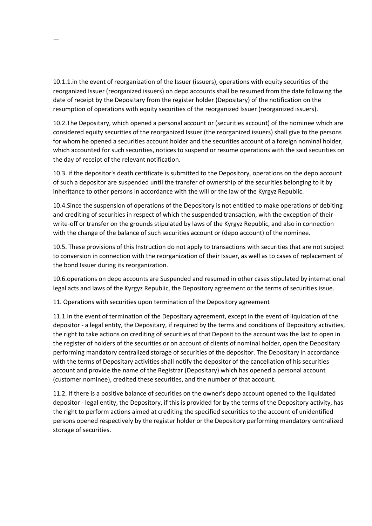10.1.1.in the event of reorganization of the Issuer (issuers), operations with equity securities of the reorganized Issuer (reorganized issuers) on depo accounts shall be resumed from the date following the date of receipt by the Depositary from the register holder (Depositary) of the notification on the resumption of operations with equity securities of the reorganized Issuer (reorganized issuers).

—

10.2.The Depositary, which opened a personal account or (securities account) of the nominee which are considered equity securities of the reorganized Issuer (the reorganized issuers) shall give to the persons for whom he opened a securities account holder and the securities account of a foreign nominal holder, which accounted for such securities, notices to suspend or resume operations with the said securities on the day of receipt of the relevant notification.

10.3. if the depositor's death certificate is submitted to the Depository, operations on the depo account of such a depositor are suspended until the transfer of ownership of the securities belonging to it by inheritance to other persons in accordance with the will or the law of the Kyrgyz Republic.

10.4.Since the suspension of operations of the Depository is not entitled to make operations of debiting and crediting of securities in respect of which the suspended transaction, with the exception of their write-off or transfer on the grounds stipulated by laws of the Kyrgyz Republic, and also in connection with the change of the balance of such securities account or (depo account) of the nominee.

10.5. These provisions of this Instruction do not apply to transactions with securities that are not subject to conversion in connection with the reorganization of their Issuer, as well as to cases of replacement of the bond Issuer during its reorganization.

10.6.operations on depo accounts are Suspended and resumed in other cases stipulated by international legal acts and laws of the Kyrgyz Republic, the Depository agreement or the terms of securities issue.

11. Operations with securities upon termination of the Depository agreement

11.1.In the event of termination of the Depositary agreement, except in the event of liquidation of the depositor - a legal entity, the Depositary, if required by the terms and conditions of Depository activities, the right to take actions on crediting of securities of that Deposit to the account was the last to open in the register of holders of the securities or on account of clients of nominal holder, open the Depositary performing mandatory centralized storage of securities of the depositor. The Depositary in accordance with the terms of Depositary activities shall notify the depositor of the cancellation of his securities account and provide the name of the Registrar (Depositary) which has opened a personal account (customer nominee), credited these securities, and the number of that account.

11.2. If there is a positive balance of securities on the owner's depo account opened to the liquidated depositor - legal entity, the Depository, if this is provided for by the terms of the Depository activity, has the right to perform actions aimed at crediting the specified securities to the account of unidentified persons opened respectively by the register holder or the Depository performing mandatory centralized storage of securities.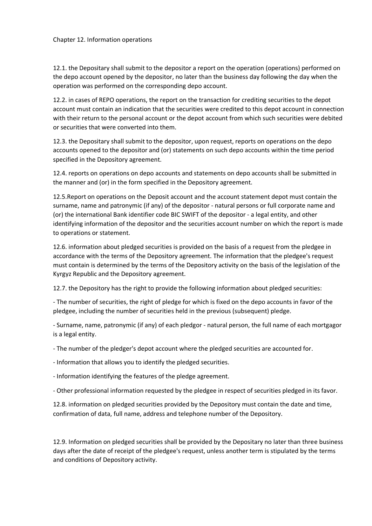### Chapter 12. Information operations

12.1. the Depositary shall submit to the depositor a report on the operation (operations) performed on the depo account opened by the depositor, no later than the business day following the day when the operation was performed on the corresponding depo account.

12.2. in cases of REPO operations, the report on the transaction for crediting securities to the depot account must contain an indication that the securities were credited to this depot account in connection with their return to the personal account or the depot account from which such securities were debited or securities that were converted into them.

12.3. the Depositary shall submit to the depositor, upon request, reports on operations on the depo accounts opened to the depositor and (or) statements on such depo accounts within the time period specified in the Depository agreement.

12.4. reports on operations on depo accounts and statements on depo accounts shall be submitted in the manner and (or) in the form specified in the Depository agreement.

12.5.Report on operations on the Deposit account and the account statement depot must contain the surname, name and patronymic (if any) of the depositor - natural persons or full corporate name and (or) the international Bank identifier code BIC SWIFT of the depositor - a legal entity, and other identifying information of the depositor and the securities account number on which the report is made to operations or statement.

12.6. information about pledged securities is provided on the basis of a request from the pledgee in accordance with the terms of the Depository agreement. The information that the pledgee's request must contain is determined by the terms of the Depository activity on the basis of the legislation of the Kyrgyz Republic and the Depository agreement.

12.7. the Depository has the right to provide the following information about pledged securities:

- The number of securities, the right of pledge for which is fixed on the depo accounts in favor of the pledgee, including the number of securities held in the previous (subsequent) pledge.

- Surname, name, patronymic (if any) of each pledgor - natural person, the full name of each mortgagor is a legal entity.

- The number of the pledger's depot account where the pledged securities are accounted for.

- Information that allows you to identify the pledged securities.

- Information identifying the features of the pledge agreement.

- Other professional information requested by the pledgee in respect of securities pledged in its favor.

12.8. information on pledged securities provided by the Depository must contain the date and time, confirmation of data, full name, address and telephone number of the Depository.

12.9. Information on pledged securities shall be provided by the Depositary no later than three business days after the date of receipt of the pledgee's request, unless another term is stipulated by the terms and conditions of Depository activity.